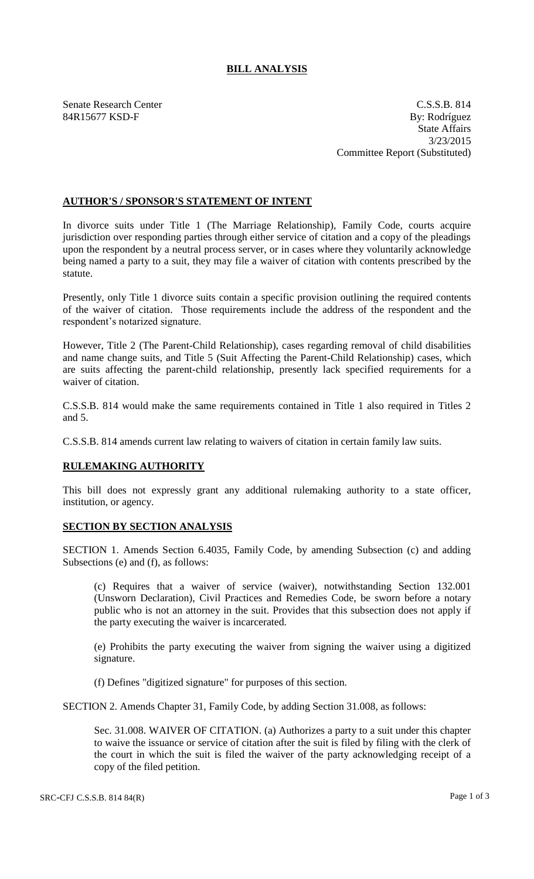## **BILL ANALYSIS**

Senate Research Center C.S.S.B. 814 84R15677 KSD-F By: Rodríguez State Affairs 3/23/2015 Committee Report (Substituted)

## **AUTHOR'S / SPONSOR'S STATEMENT OF INTENT**

In divorce suits under Title 1 (The Marriage Relationship), Family Code, courts acquire jurisdiction over responding parties through either service of citation and a copy of the pleadings upon the respondent by a neutral process server, or in cases where they voluntarily acknowledge being named a party to a suit, they may file a waiver of citation with contents prescribed by the statute.

Presently, only Title 1 divorce suits contain a specific provision outlining the required contents of the waiver of citation. Those requirements include the address of the respondent and the respondent's notarized signature.

However, Title 2 (The Parent-Child Relationship), cases regarding removal of child disabilities and name change suits, and Title 5 (Suit Affecting the Parent-Child Relationship) cases, which are suits affecting the parent-child relationship, presently lack specified requirements for a waiver of citation.

C.S.S.B. 814 would make the same requirements contained in Title 1 also required in Titles 2 and 5.

C.S.S.B. 814 amends current law relating to waivers of citation in certain family law suits.

## **RULEMAKING AUTHORITY**

This bill does not expressly grant any additional rulemaking authority to a state officer, institution, or agency.

## **SECTION BY SECTION ANALYSIS**

SECTION 1. Amends Section 6.4035, Family Code, by amending Subsection (c) and adding Subsections (e) and (f), as follows:

(c) Requires that a waiver of service (waiver), notwithstanding Section 132.001 (Unsworn Declaration), Civil Practices and Remedies Code, be sworn before a notary public who is not an attorney in the suit. Provides that this subsection does not apply if the party executing the waiver is incarcerated.

(e) Prohibits the party executing the waiver from signing the waiver using a digitized signature.

(f) Defines "digitized signature" for purposes of this section.

SECTION 2. Amends Chapter 31, Family Code, by adding Section 31.008, as follows:

Sec. 31.008. WAIVER OF CITATION. (a) Authorizes a party to a suit under this chapter to waive the issuance or service of citation after the suit is filed by filing with the clerk of the court in which the suit is filed the waiver of the party acknowledging receipt of a copy of the filed petition.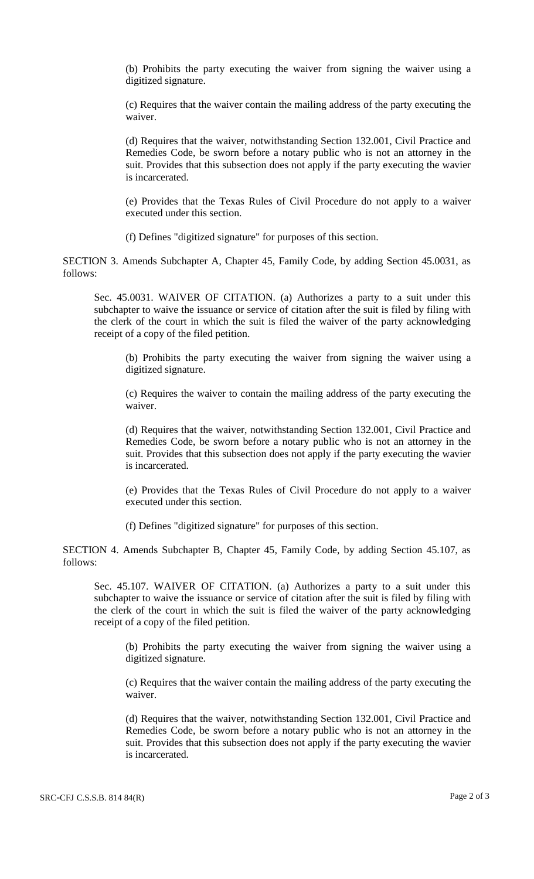(b) Prohibits the party executing the waiver from signing the waiver using a digitized signature.

(c) Requires that the waiver contain the mailing address of the party executing the waiver.

(d) Requires that the waiver, notwithstanding Section 132.001, Civil Practice and Remedies Code, be sworn before a notary public who is not an attorney in the suit. Provides that this subsection does not apply if the party executing the wavier is incarcerated.

(e) Provides that the Texas Rules of Civil Procedure do not apply to a waiver executed under this section.

(f) Defines "digitized signature" for purposes of this section.

SECTION 3. Amends Subchapter A, Chapter 45, Family Code, by adding Section 45.0031, as follows:

Sec. 45.0031. WAIVER OF CITATION. (a) Authorizes a party to a suit under this subchapter to waive the issuance or service of citation after the suit is filed by filing with the clerk of the court in which the suit is filed the waiver of the party acknowledging receipt of a copy of the filed petition.

(b) Prohibits the party executing the waiver from signing the waiver using a digitized signature.

(c) Requires the waiver to contain the mailing address of the party executing the waiver.

(d) Requires that the waiver, notwithstanding Section 132.001, Civil Practice and Remedies Code, be sworn before a notary public who is not an attorney in the suit. Provides that this subsection does not apply if the party executing the wavier is incarcerated.

(e) Provides that the Texas Rules of Civil Procedure do not apply to a waiver executed under this section.

(f) Defines "digitized signature" for purposes of this section.

SECTION 4. Amends Subchapter B, Chapter 45, Family Code, by adding Section 45.107, as follows:

Sec. 45.107. WAIVER OF CITATION. (a) Authorizes a party to a suit under this subchapter to waive the issuance or service of citation after the suit is filed by filing with the clerk of the court in which the suit is filed the waiver of the party acknowledging receipt of a copy of the filed petition.

(b) Prohibits the party executing the waiver from signing the waiver using a digitized signature.

(c) Requires that the waiver contain the mailing address of the party executing the waiver.

(d) Requires that the waiver, notwithstanding Section 132.001, Civil Practice and Remedies Code, be sworn before a notary public who is not an attorney in the suit. Provides that this subsection does not apply if the party executing the wavier is incarcerated.